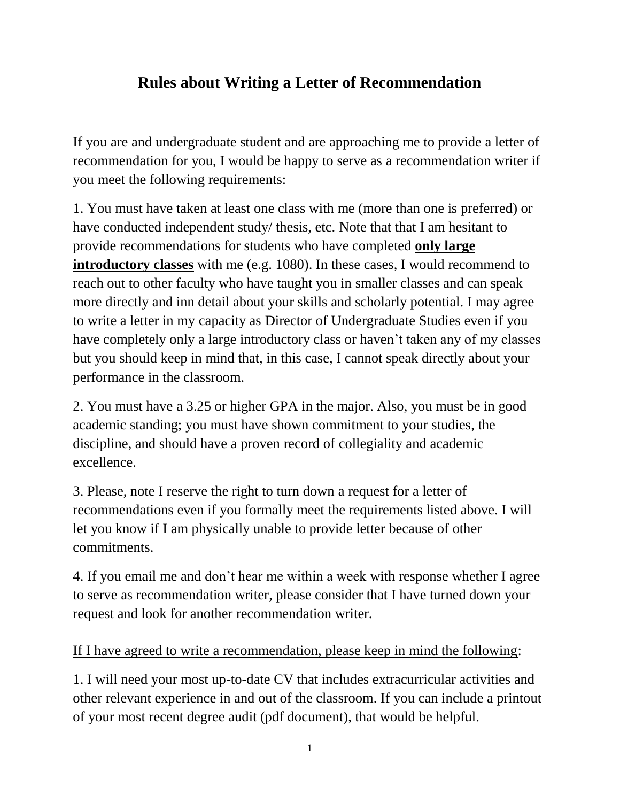## **Rules about Writing a Letter of Recommendation**

If you are and undergraduate student and are approaching me to provide a letter of recommendation for you, I would be happy to serve as a recommendation writer if you meet the following requirements:

1. You must have taken at least one class with me (more than one is preferred) or have conducted independent study/ thesis, etc. Note that that I am hesitant to provide recommendations for students who have completed **only large introductory classes** with me (e.g. 1080). In these cases, I would recommend to reach out to other faculty who have taught you in smaller classes and can speak more directly and inn detail about your skills and scholarly potential. I may agree to write a letter in my capacity as Director of Undergraduate Studies even if you have completely only a large introductory class or haven't taken any of my classes but you should keep in mind that, in this case, I cannot speak directly about your performance in the classroom.

2. You must have a 3.25 or higher GPA in the major. Also, you must be in good academic standing; you must have shown commitment to your studies, the discipline, and should have a proven record of collegiality and academic excellence.

3. Please, note I reserve the right to turn down a request for a letter of recommendations even if you formally meet the requirements listed above. I will let you know if I am physically unable to provide letter because of other commitments.

4. If you email me and don't hear me within a week with response whether I agree to serve as recommendation writer, please consider that I have turned down your request and look for another recommendation writer.

## If I have agreed to write a recommendation, please keep in mind the following:

1. I will need your most up-to-date CV that includes extracurricular activities and other relevant experience in and out of the classroom. If you can include a printout of your most recent degree audit (pdf document), that would be helpful.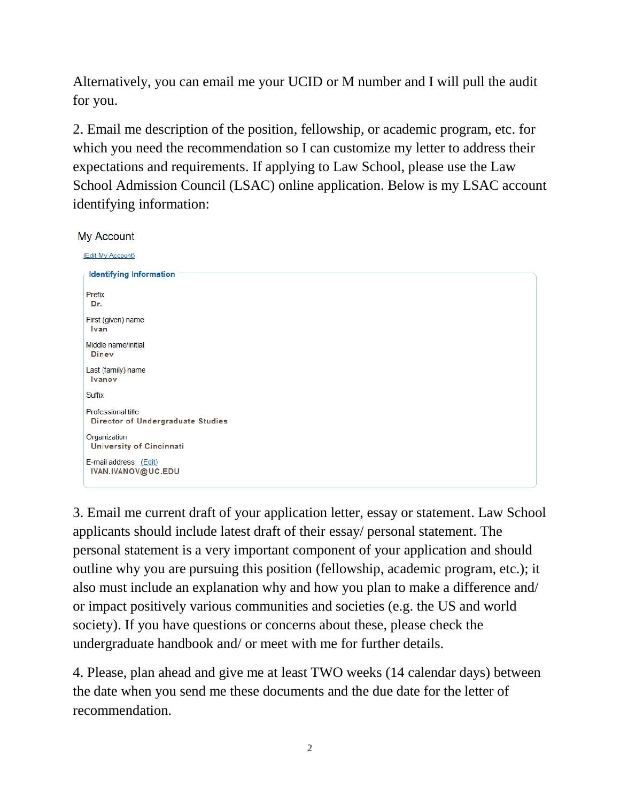Alternatively, you can email me your UCID or M number and I will pull the audit for you.

2. Email me description of the position, fellowship, or academic program, etc. for which you need the recommendation so I can customize my letter to address their expectations and requirements. If applying to Law School, please use the Law School Admission Council (LSAC) online application. Below is my LSAC account identifying information:

## My Account

| (Edit My Account)                                                     |
|-----------------------------------------------------------------------|
| <b>Identifying Information</b>                                        |
| Prefix<br>Dr.                                                         |
| First (given) name<br>Ivan                                            |
| Middle name/initial<br><b>Diney</b>                                   |
| Last (family) name<br><b>Ivanov</b>                                   |
| Suffix                                                                |
| <b>Professional title</b><br><b>Director of Undergraduate Studies</b> |
| Organization<br>University of Cincinnati                              |
| E-mail address (Edit)<br>IVAN.IVANOV@UC.EDU                           |

3. Email me current draft of your application letter, essay or statement. Law School applicants should include latest draft of their essay/ personal statement. The personal statement is a very important component of your application and should outline why you are pursuing this position (fellowship, academic program, etc.); it also must include an explanation why and how you plan to make a difference and/ or impact positively various communities and societies (e.g. the US and world society). If you have questions or concerns about these, please check the undergraduate handbook and/ or meet with me for further details.

4. Please, plan ahead and give me at least TWO weeks (14 calendar days) between the date when you send me these documents and the due date for the letter of recommendation.